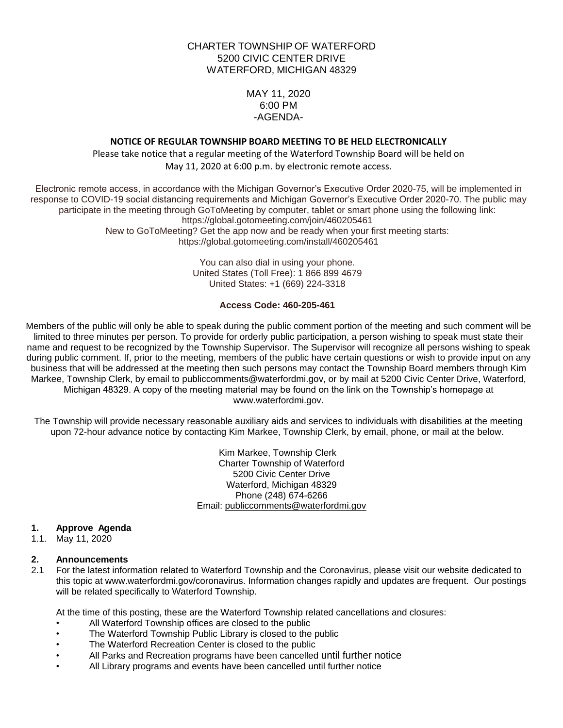# CHARTER TOWNSHIP OF WATERFORD 5200 CIVIC CENTER DRIVE WATERFORD, MICHIGAN 48329

MAY 11, 2020 6:00 PM -AGENDA-

## **NOTICE OF REGULAR TOWNSHIP BOARD MEETING TO BE HELD ELECTRONICALLY**

Please take notice that a regular meeting of the Waterford Township Board will be held on May 11, 2020 at 6:00 p.m. by electronic remote access.

Electronic remote access, in accordance with the Michigan Governor's Executive Order 2020-75, will be implemented in response to COVID-19 social distancing requirements and Michigan Governor's Executive Order 2020-70. The public may participate in the meeting through GoToMeeting by computer, tablet or smart phone using the following link: https://global.gotomeeting.com/join/460205461 New to GoToMeeting? Get the app now and be ready when your first meeting starts: https://global.gotomeeting.com/install/460205461

> You can also dial in using your phone. United States (Toll Free): 1 866 899 4679 United States: +1 (669) 224-3318

#### **Access Code: 460-205-461**

Members of the public will only be able to speak during the public comment portion of the meeting and such comment will be limited to three minutes per person. To provide for orderly public participation, a person wishing to speak must state their name and request to be recognized by the Township Supervisor. The Supervisor will recognize all persons wishing to speak during public comment. If, prior to the meeting, members of the public have certain questions or wish to provide input on any business that will be addressed at the meeting then such persons may contact the Township Board members through Kim Markee, Township Clerk, by email to publiccomments@waterfordmi.gov, or by mail at 5200 Civic Center Drive, Waterford, Michigan 48329. A copy of the meeting material may be found on the link on the Township's homepage at www.waterfordmi.gov.

The Township will provide necessary reasonable auxiliary aids and services to individuals with disabilities at the meeting upon 72-hour advance notice by contacting Kim Markee, Township Clerk, by email, phone, or mail at the below.

> Kim Markee, Township Clerk Charter Township of Waterford 5200 Civic Center Drive Waterford, Michigan 48329 Phone (248) 674-6266 Email: [publiccomments@waterfordmi.gov](mailto:publiccomments@waterfordmi.gov)

### **1. Approve Agenda**

1.1. May 11, 2020

#### **2. Announcements**

2.1 For the latest information related to Waterford Township and the Coronavirus, please visit our website dedicated to this topic at www.waterfordmi.gov/coronavirus. Information changes rapidly and updates are frequent. Our postings will be related specifically to Waterford Township.

At the time of this posting, these are the Waterford Township related cancellations and closures:

- All Waterford Township offices are closed to the public
- The Waterford Township Public Library is closed to the public
- The Waterford Recreation Center is closed to the public
- All Parks and Recreation programs have been cancelled until further notice
- All Library programs and events have been cancelled until further notice